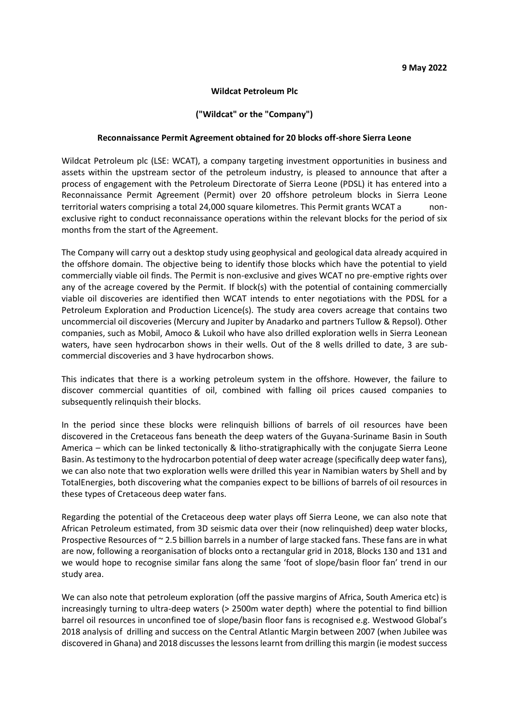#### **Wildcat Petroleum Plc**

## **("Wildcat" or the "Company")**

### **Reconnaissance Permit Agreement obtained for 20 blocks off-shore Sierra Leone**

Wildcat Petroleum plc (LSE: WCAT), a company targeting investment opportunities in business and assets within the upstream sector of the petroleum industry, is pleased to announce that after a process of engagement with the Petroleum Directorate of Sierra Leone (PDSL) it has entered into a Reconnaissance Permit Agreement (Permit) over 20 offshore petroleum blocks in Sierra Leone territorial waters comprising a total 24,000 square kilometres. This Permit grants WCAT a nonexclusive right to conduct reconnaissance operations within the relevant blocks for the period of six months from the start of the Agreement.

The Company will carry out a desktop study using geophysical and geological data already acquired in the offshore domain. The objective being to identify those blocks which have the potential to yield commercially viable oil finds. The Permit is non-exclusive and gives WCAT no pre-emptive rights over any of the acreage covered by the Permit. If block(s) with the potential of containing commercially viable oil discoveries are identified then WCAT intends to enter negotiations with the PDSL for a Petroleum Exploration and Production Licence(s). The study area covers acreage that contains two uncommercial oil discoveries (Mercury and Jupiter by Anadarko and partners Tullow & Repsol). Other companies, such as Mobil, Amoco & Lukoil who have also drilled exploration wells in Sierra Leonean waters, have seen hydrocarbon shows in their wells. Out of the 8 wells drilled to date, 3 are subcommercial discoveries and 3 have hydrocarbon shows.

This indicates that there is a working petroleum system in the offshore. However, the failure to discover commercial quantities of oil, combined with falling oil prices caused companies to subsequently relinquish their blocks.

In the period since these blocks were relinquish billions of barrels of oil resources have been discovered in the Cretaceous fans beneath the deep waters of the Guyana-Suriname Basin in South America – which can be linked tectonically & litho-stratigraphically with the conjugate Sierra Leone Basin. As testimony to the hydrocarbon potential of deep water acreage (specifically deep water fans), we can also note that two exploration wells were drilled this year in Namibian waters by Shell and by TotalEnergies, both discovering what the companies expect to be billions of barrels of oil resources in these types of Cretaceous deep water fans.

Regarding the potential of the Cretaceous deep water plays off Sierra Leone, we can also note that African Petroleum estimated, from 3D seismic data over their (now relinquished) deep water blocks, Prospective Resources of ~ 2.5 billion barrels in a number of large stacked fans. These fans are in what are now, following a reorganisation of blocks onto a rectangular grid in 2018, Blocks 130 and 131 and we would hope to recognise similar fans along the same 'foot of slope/basin floor fan' trend in our study area.

We can also note that petroleum exploration (off the passive margins of Africa, South America etc) is increasingly turning to ultra-deep waters (> 2500m water depth) where the potential to find billion barrel oil resources in unconfined toe of slope/basin floor fans is recognised e.g. Westwood Global's 2018 analysis of drilling and success on the Central Atlantic Margin between 2007 (when Jubilee was discovered in Ghana) and 2018 discusses the lessons learnt from drilling this margin (ie modest success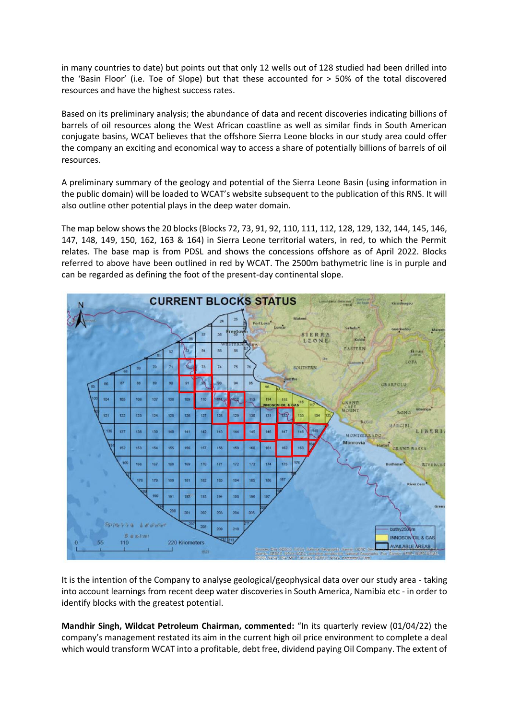in many countries to date) but points out that only 12 wells out of 128 studied had been drilled into the 'Basin Floor' (i.e. Toe of Slope) but that these accounted for > 50% of the total discovered resources and have the highest success rates.

Based on its preliminary analysis; the abundance of data and recent discoveries indicating billions of barrels of oil resources along the West African coastline as well as similar finds in South American conjugate basins, WCAT believes that the offshore Sierra Leone blocks in our study area could offer the company an exciting and economical way to access a share of potentially billions of barrels of oil resources.

A preliminary summary of the geology and potential of the Sierra Leone Basin (using information in the public domain) will be loaded to WCAT's website subsequent to the publication of this RNS. It will also outline other potential plays in the deep water domain.

The map below shows the 20 blocks (Blocks 72, 73, 91, 92, 110, 111, 112, 128, 129, 132, 144, 145, 146, 147, 148, 149, 150, 162, 163 & 164) in Sierra Leone territorial waters, in red, to which the Permit relates. The base map is from PDSL and shows the concessions offshore as of April 2022. Blocks referred to above have been outlined in red by WCAT. The 2500m bathymetric line is in purple and can be regarded as defining the foot of the present-day continental slope.



It is the intention of the Company to analyse geological/geophysical data over our study area - taking into account learnings from recent deep water discoveries in South America, Namibia etc - in order to identify blocks with the greatest potential.

**Mandhir Singh, Wildcat Petroleum Chairman, commented:** "In its quarterly review (01/04/22) the company's management restated its aim in the current high oil price environment to complete a deal which would transform WCAT into a profitable, debt free, dividend paying Oil Company. The extent of